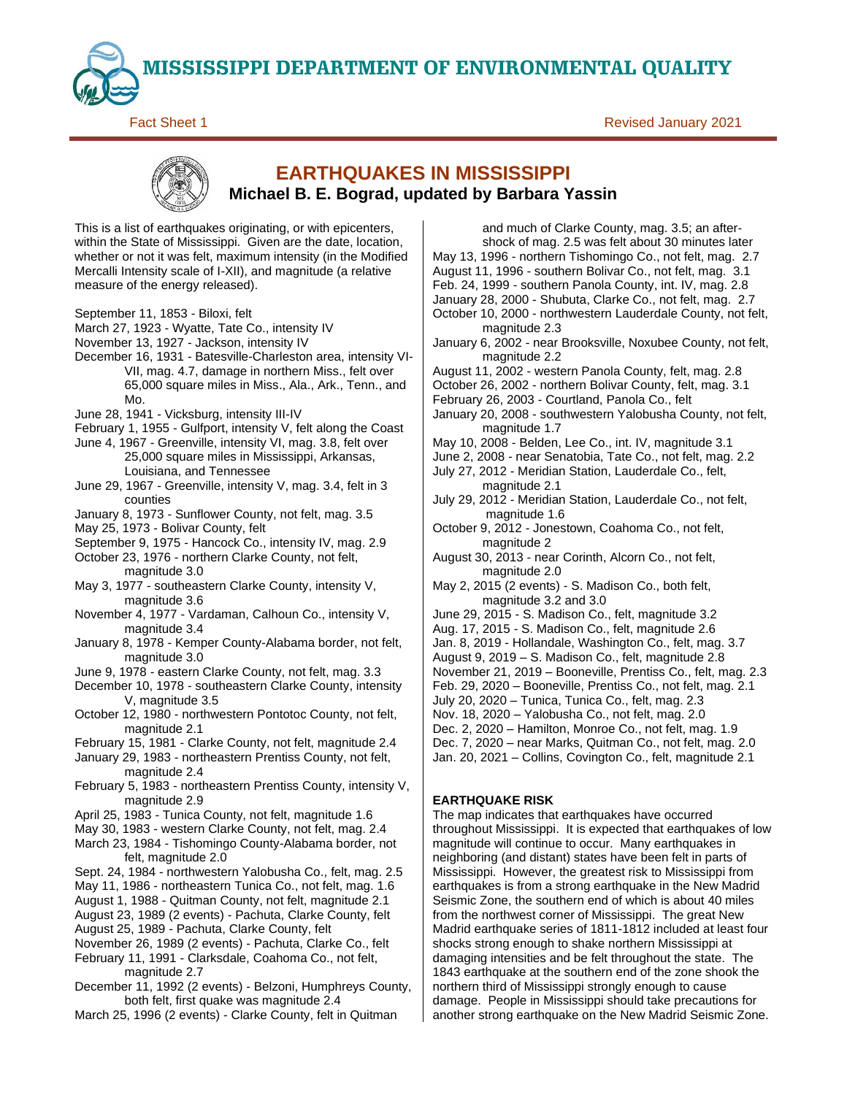**MISSISSIPPI DEPARTMENT OF ENVIRONMENTAL QUALITY**

**Fact Sheet 1** Revised January 2021

# **EARTHQUAKES IN MISSISSIPPI Michael B. E. Bograd, updated by Barbara Yassin**

This is a list of earthquakes originating, or with epicenters, within the State of Mississippi. Given are the date, location, whether or not it was felt, maximum intensity (in the Modified Mercalli Intensity scale of I-XII), and magnitude (a relative measure of the energy released).

- September 11, 1853 Biloxi, felt
- March 27, 1923 Wyatte, Tate Co., intensity IV
- November 13, 1927 Jackson, intensity IV
- December 16, 1931 Batesville-Charleston area, intensity VI-VII, mag. 4.7, damage in northern Miss., felt over 65,000 square miles in Miss., Ala., Ark., Tenn., and Mo.
- June 28, 1941 Vicksburg, intensity III-IV
- February 1, 1955 Gulfport, intensity V, felt along the Coast

June 4, 1967 - Greenville, intensity VI, mag. 3.8, felt over 25,000 square miles in Mississippi, Arkansas, Louisiana, and Tennessee

- June 29, 1967 Greenville, intensity V, mag. 3.4, felt in 3 counties
- January 8, 1973 Sunflower County, not felt, mag. 3.5
- May 25, 1973 Bolivar County, felt
- September 9, 1975 Hancock Co., intensity IV, mag. 2.9
- October 23, 1976 northern Clarke County, not felt, magnitude 3.0
- May 3, 1977 southeastern Clarke County, intensity V, magnitude 3.6
- November 4, 1977 Vardaman, Calhoun Co., intensity V, magnitude 3.4
- January 8, 1978 Kemper County-Alabama border, not felt, magnitude 3.0
- June 9, 1978 eastern Clarke County, not felt, mag. 3.3
- December 10, 1978 southeastern Clarke County, intensity V, magnitude 3.5
- October 12, 1980 northwestern Pontotoc County, not felt, magnitude 2.1
- February 15, 1981 Clarke County, not felt, magnitude 2.4
- January 29, 1983 northeastern Prentiss County, not felt, magnitude 2.4
- February 5, 1983 northeastern Prentiss County, intensity V, magnitude 2.9
- April 25, 1983 Tunica County, not felt, magnitude 1.6
- May 30, 1983 western Clarke County, not felt, mag. 2.4
- March 23, 1984 Tishomingo County-Alabama border, not felt, magnitude 2.0
- Sept. 24, 1984 northwestern Yalobusha Co., felt, mag. 2.5
- May 11, 1986 northeastern Tunica Co., not felt, mag. 1.6
- August 1, 1988 Quitman County, not felt, magnitude 2.1
- August 23, 1989 (2 events) Pachuta, Clarke County, felt
- August 25, 1989 Pachuta, Clarke County, felt
- November 26, 1989 (2 events) Pachuta, Clarke Co., felt
- February 11, 1991 Clarksdale, Coahoma Co., not felt, magnitude 2.7
- December 11, 1992 (2 events) Belzoni, Humphreys County, both felt, first quake was magnitude 2.4
- March 25, 1996 (2 events) Clarke County, felt in Quitman

and much of Clarke County, mag. 3.5; an aftershock of mag. 2.5 was felt about 30 minutes later May 13, 1996 - northern Tishomingo Co., not felt, mag. 2.7 August 11, 1996 - southern Bolivar Co., not felt, mag. 3.1 Feb. 24, 1999 - southern Panola County, int. IV, mag. 2.8 January 28, 2000 - Shubuta, Clarke Co., not felt, mag. 2.7 October 10, 2000 - northwestern Lauderdale County, not felt, magnitude 2.3 January 6, 2002 - near Brooksville, Noxubee County, not felt, magnitude 2.2 August 11, 2002 - western Panola County, felt, mag. 2.8 October 26, 2002 - northern Bolivar County, felt, mag. 3.1 February 26, 2003 - Courtland, Panola Co., felt January 20, 2008 - southwestern Yalobusha County, not felt, magnitude 1.7 May 10, 2008 - Belden, Lee Co., int. IV, magnitude 3.1 June 2, 2008 - near Senatobia, Tate Co., not felt, mag. 2.2 July 27, 2012 - Meridian Station, Lauderdale Co., felt, magnitude 2.1 July 29, 2012 - Meridian Station, Lauderdale Co., not felt, magnitude 1.6 October 9, 2012 - Jonestown, Coahoma Co., not felt, magnitude 2 August 30, 2013 - near Corinth, Alcorn Co., not felt, magnitude 2.0 May 2, 2015 (2 events) - S. Madison Co., both felt, magnitude 3.2 and 3.0 June 29, 2015 - S. Madison Co., felt, magnitude 3.2 Aug. 17, 2015 - S. Madison Co., felt, magnitude 2.6 Jan. 8, 2019 - Hollandale, Washington Co., felt, mag. 3.7 August 9, 2019 – S. Madison Co., felt, magnitude 2.8 November 21, 2019 – Booneville, Prentiss Co., felt, mag. 2.3 Feb. 29, 2020 – Booneville, Prentiss Co., not felt, mag. 2.1 July 20, 2020 – Tunica, Tunica Co., felt, mag. 2.3 Nov. 18, 2020 – Yalobusha Co., not felt, mag. 2.0 Dec. 2, 2020 – Hamilton, Monroe Co., not felt, mag. 1.9 Dec. 7, 2020 – near Marks, Quitman Co., not felt, mag. 2.0 Jan. 20, 2021 – Collins, Covington Co., felt, magnitude 2.1

# **EARTHQUAKE RISK**

The map indicates that earthquakes have occurred throughout Mississippi. It is expected that earthquakes of low magnitude will continue to occur. Many earthquakes in neighboring (and distant) states have been felt in parts of Mississippi. However, the greatest risk to Mississippi from earthquakes is from a strong earthquake in the New Madrid Seismic Zone, the southern end of which is about 40 miles from the northwest corner of Mississippi. The great New Madrid earthquake series of 1811-1812 included at least four shocks strong enough to shake northern Mississippi at damaging intensities and be felt throughout the state. The 1843 earthquake at the southern end of the zone shook the northern third of Mississippi strongly enough to cause damage. People in Mississippi should take precautions for another strong earthquake on the New Madrid Seismic Zone.